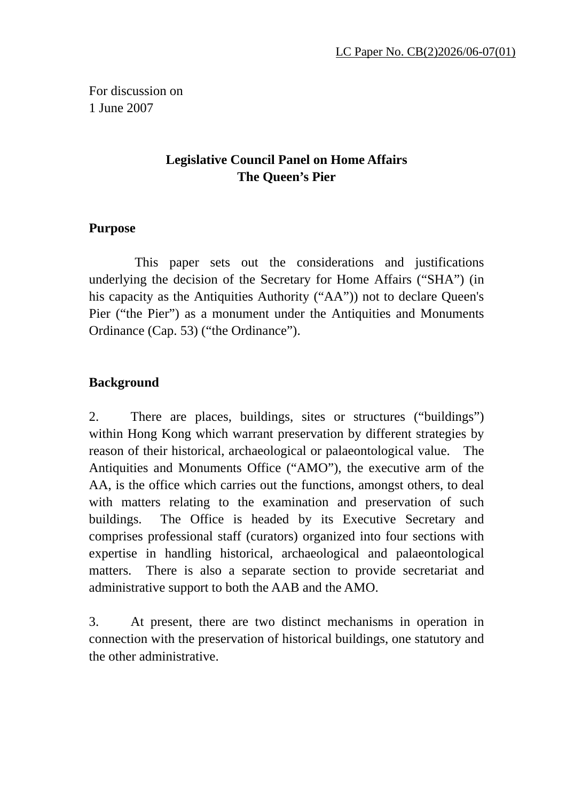For discussion on 1 June 2007

## **Legislative Council Panel on Home Affairs The Queen's Pier**

## **Purpose**

 This paper sets out the considerations and justifications underlying the decision of the Secretary for Home Affairs ("SHA") (in his capacity as the Antiquities Authority ("AA")) not to declare Queen's Pier ("the Pier") as a monument under the Antiquities and Monuments Ordinance (Cap. 53) ("the Ordinance").

## **Background**

2. There are places, buildings, sites or structures ("buildings") within Hong Kong which warrant preservation by different strategies by reason of their historical, archaeological or palaeontological value. The Antiquities and Monuments Office ("AMO"), the executive arm of the AA, is the office which carries out the functions, amongst others, to deal with matters relating to the examination and preservation of such buildings. The Office is headed by its Executive Secretary and comprises professional staff (curators) organized into four sections with expertise in handling historical, archaeological and palaeontological matters. There is also a separate section to provide secretariat and administrative support to both the AAB and the AMO.

3. At present, there are two distinct mechanisms in operation in connection with the preservation of historical buildings, one statutory and the other administrative.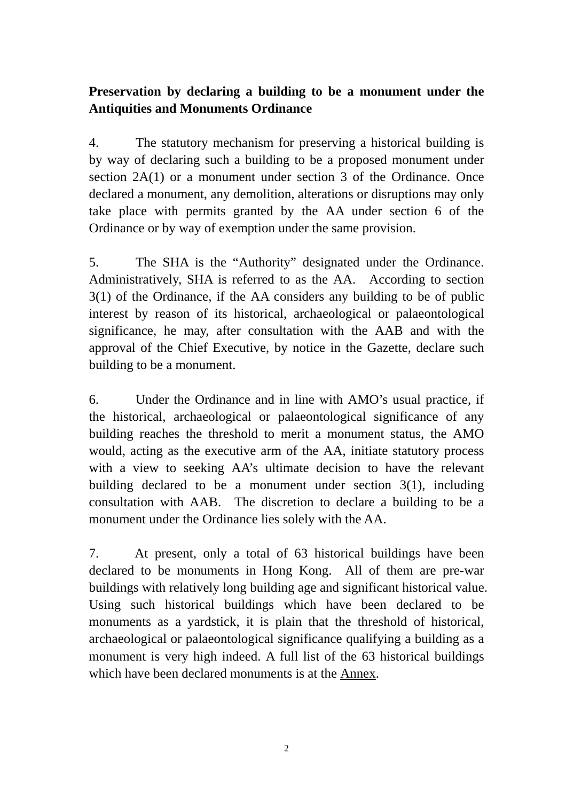## **Preservation by declaring a building to be a monument under the Antiquities and Monuments Ordinance**

4. The statutory mechanism for preserving a historical building is by way of declaring such a building to be a proposed monument under section 2A(1) or a monument under section 3 of the Ordinance. Once declared a monument, any demolition, alterations or disruptions may only take place with permits granted by the AA under section 6 of the Ordinance or by way of exemption under the same provision.

5. The SHA is the "Authority" designated under the Ordinance. Administratively, SHA is referred to as the AA. According to section 3(1) of the Ordinance, if the AA considers any building to be of public interest by reason of its historical, archaeological or palaeontological significance, he may, after consultation with the AAB and with the approval of the Chief Executive, by notice in the Gazette, declare such building to be a monument.

6. Under the Ordinance and in line with AMO's usual practice, if the historical, archaeological or palaeontological significance of any building reaches the threshold to merit a monument status, the AMO would, acting as the executive arm of the AA, initiate statutory process with a view to seeking AA's ultimate decision to have the relevant building declared to be a monument under section 3(1), including consultation with AAB. The discretion to declare a building to be a monument under the Ordinance lies solely with the AA.

7. At present, only a total of 63 historical buildings have been declared to be monuments in Hong Kong. All of them are pre-war buildings with relatively long building age and significant historical value. Using such historical buildings which have been declared to be monuments as a yardstick, it is plain that the threshold of historical, archaeological or palaeontological significance qualifying a building as a monument is very high indeed. A full list of the 63 historical buildings which have been declared monuments is at the Annex.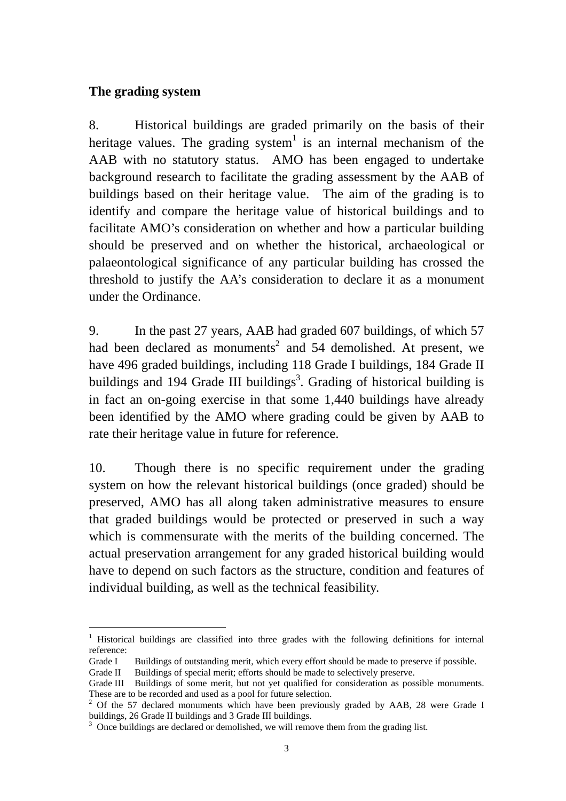#### **The grading system**

8. Historical buildings are graded primarily on the basis of their heritage values. The grading system<sup>1</sup> is an internal mechanism of the AAB with no statutory status. AMO has been engaged to undertake background research to facilitate the grading assessment by the AAB of buildings based on their heritage value. The aim of the grading is to identify and compare the heritage value of historical buildings and to facilitate AMO's consideration on whether and how a particular building should be preserved and on whether the historical, archaeological or palaeontological significance of any particular building has crossed the threshold to justify the AA's consideration to declare it as a monument under the Ordinance.

9. In the past 27 years, AAB had graded 607 buildings, of which 57 had been declared as monuments<sup>2</sup> and 54 demolished. At present, we have 496 graded buildings, including 118 Grade I buildings, 184 Grade II buildings and 194 Grade III buildings<sup>3</sup>. Grading of historical building is in fact an on-going exercise in that some 1,440 buildings have already been identified by the AMO where grading could be given by AAB to rate their heritage value in future for reference.

10. Though there is no specific requirement under the grading system on how the relevant historical buildings (once graded) should be preserved, AMO has all along taken administrative measures to ensure that graded buildings would be protected or preserved in such a way which is commensurate with the merits of the building concerned. The actual preservation arrangement for any graded historical building would have to depend on such factors as the structure, condition and features of individual building, as well as the technical feasibility.

 $\overline{a}$ 1 Historical buildings are classified into three grades with the following definitions for internal reference:

Grade I Buildings of outstanding merit, which every effort should be made to preserve if possible.

Grade II Buildings of special merit; efforts should be made to selectively preserve.

Grade III Buildings of some merit, but not yet qualified for consideration as possible monuments. These are to be recorded and used as a pool for future selection.

 $2$  Of the 57 declared monuments which have been previously graded by AAB, 28 were Grade I buildings, 26 Grade II buildings and 3 Grade III buildings.

<sup>&</sup>lt;sup>3</sup> Once buildings are declared or demolished, we will remove them from the grading list.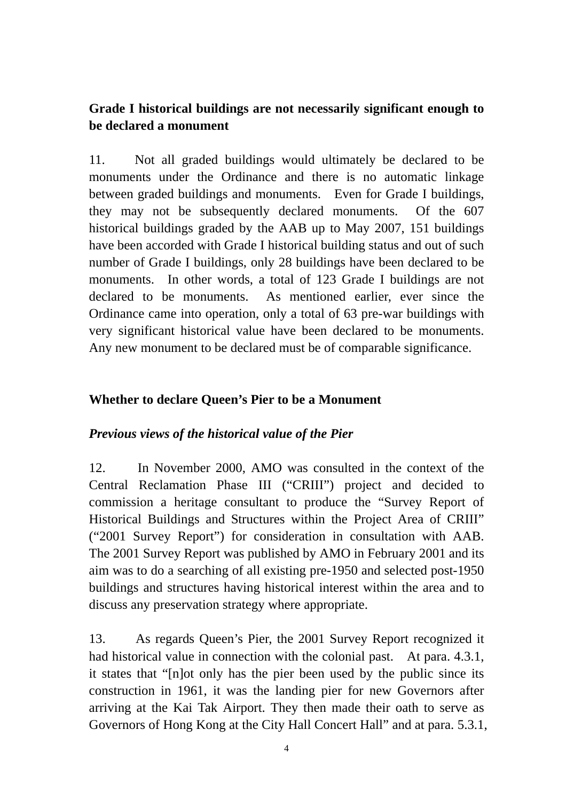## **Grade I historical buildings are not necessarily significant enough to be declared a monument**

11. Not all graded buildings would ultimately be declared to be monuments under the Ordinance and there is no automatic linkage between graded buildings and monuments. Even for Grade I buildings, they may not be subsequently declared monuments. Of the 607 historical buildings graded by the AAB up to May 2007, 151 buildings have been accorded with Grade I historical building status and out of such number of Grade I buildings, only 28 buildings have been declared to be monuments. In other words, a total of 123 Grade I buildings are not declared to be monuments. As mentioned earlier, ever since the Ordinance came into operation, only a total of 63 pre-war buildings with very significant historical value have been declared to be monuments. Any new monument to be declared must be of comparable significance.

#### **Whether to declare Queen's Pier to be a Monument**

### *Previous views of the historical value of the Pier*

12. In November 2000, AMO was consulted in the context of the Central Reclamation Phase III ("CRIII") project and decided to commission a heritage consultant to produce the "Survey Report of Historical Buildings and Structures within the Project Area of CRIII" ("2001 Survey Report") for consideration in consultation with AAB. The 2001 Survey Report was published by AMO in February 2001 and its aim was to do a searching of all existing pre-1950 and selected post-1950 buildings and structures having historical interest within the area and to discuss any preservation strategy where appropriate.

13. As regards Queen's Pier, the 2001 Survey Report recognized it had historical value in connection with the colonial past. At para. 4.3.1, it states that "[n]ot only has the pier been used by the public since its construction in 1961, it was the landing pier for new Governors after arriving at the Kai Tak Airport. They then made their oath to serve as Governors of Hong Kong at the City Hall Concert Hall" and at para. 5.3.1,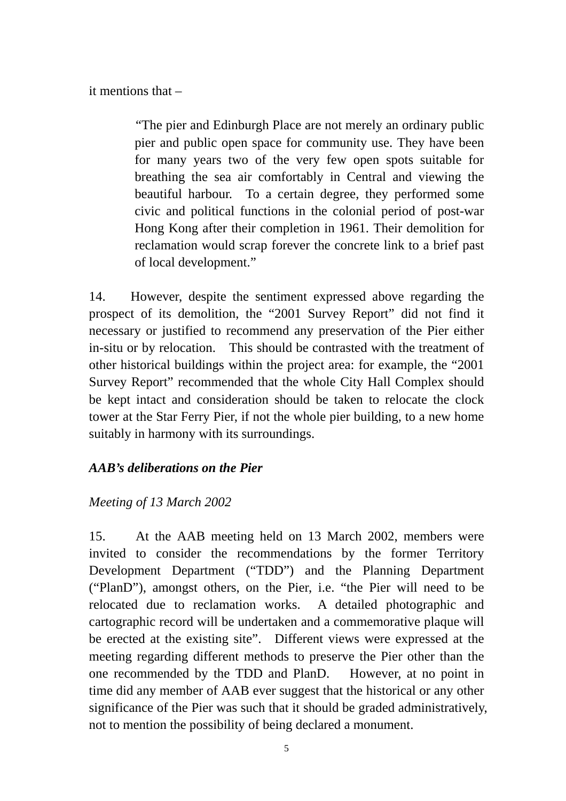it mentions that –

 "The pier and Edinburgh Place are not merely an ordinary public pier and public open space for community use. They have been for many years two of the very few open spots suitable for breathing the sea air comfortably in Central and viewing the beautiful harbour. To a certain degree, they performed some civic and political functions in the colonial period of post-war Hong Kong after their completion in 1961. Their demolition for reclamation would scrap forever the concrete link to a brief past of local development."

14. However, despite the sentiment expressed above regarding the prospect of its demolition, the "2001 Survey Report" did not find it necessary or justified to recommend any preservation of the Pier either in-situ or by relocation. This should be contrasted with the treatment of other historical buildings within the project area: for example, the "2001 Survey Report" recommended that the whole City Hall Complex should be kept intact and consideration should be taken to relocate the clock tower at the Star Ferry Pier, if not the whole pier building, to a new home suitably in harmony with its surroundings.

### *AAB's deliberations on the Pier*

### *Meeting of 13 March 2002*

15. At the AAB meeting held on 13 March 2002, members were invited to consider the recommendations by the former Territory Development Department ("TDD") and the Planning Department ("PlanD"), amongst others, on the Pier, i.e. "the Pier will need to be relocated due to reclamation works. A detailed photographic and cartographic record will be undertaken and a commemorative plaque will be erected at the existing site". Different views were expressed at the meeting regarding different methods to preserve the Pier other than the one recommended by the TDD and PlanD. However, at no point in time did any member of AAB ever suggest that the historical or any other significance of the Pier was such that it should be graded administratively, not to mention the possibility of being declared a monument.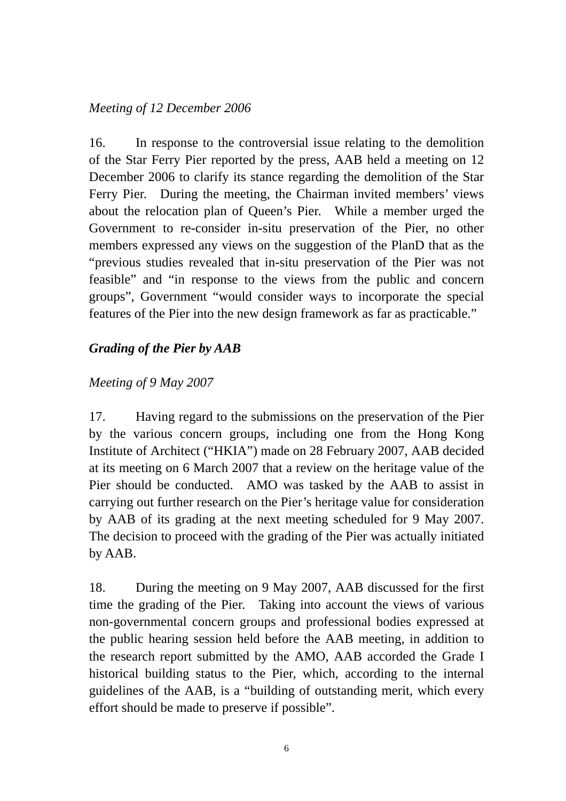### *Meeting of 12 December 2006*

16. In response to the controversial issue relating to the demolition of the Star Ferry Pier reported by the press, AAB held a meeting on 12 December 2006 to clarify its stance regarding the demolition of the Star Ferry Pier. During the meeting, the Chairman invited members' views about the relocation plan of Queen's Pier. While a member urged the Government to re-consider in-situ preservation of the Pier, no other members expressed any views on the suggestion of the PlanD that as the "previous studies revealed that in-situ preservation of the Pier was not feasible" and "in response to the views from the public and concern groups", Government "would consider ways to incorporate the special features of the Pier into the new design framework as far as practicable."

## *Grading of the Pier by AAB*

## *Meeting of 9 May 2007*

17. Having regard to the submissions on the preservation of the Pier by the various concern groups, including one from the Hong Kong Institute of Architect ("HKIA") made on 28 February 2007, AAB decided at its meeting on 6 March 2007 that a review on the heritage value of the Pier should be conducted. AMO was tasked by the AAB to assist in carrying out further research on the Pier's heritage value for consideration by AAB of its grading at the next meeting scheduled for 9 May 2007. The decision to proceed with the grading of the Pier was actually initiated by AAB.

18. During the meeting on 9 May 2007, AAB discussed for the first time the grading of the Pier. Taking into account the views of various non-governmental concern groups and professional bodies expressed at the public hearing session held before the AAB meeting, in addition to the research report submitted by the AMO, AAB accorded the Grade I historical building status to the Pier, which, according to the internal guidelines of the AAB, is a "building of outstanding merit, which every effort should be made to preserve if possible".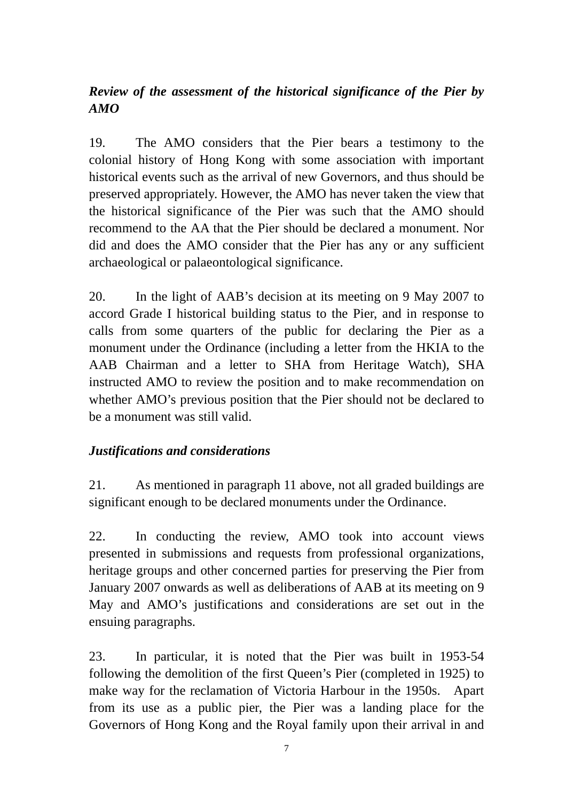# *Review of the assessment of the historical significance of the Pier by AMO*

19. The AMO considers that the Pier bears a testimony to the colonial history of Hong Kong with some association with important historical events such as the arrival of new Governors, and thus should be preserved appropriately. However, the AMO has never taken the view that the historical significance of the Pier was such that the AMO should recommend to the AA that the Pier should be declared a monument. Nor did and does the AMO consider that the Pier has any or any sufficient archaeological or palaeontological significance.

20. In the light of AAB's decision at its meeting on 9 May 2007 to accord Grade I historical building status to the Pier, and in response to calls from some quarters of the public for declaring the Pier as a monument under the Ordinance (including a letter from the HKIA to the AAB Chairman and a letter to SHA from Heritage Watch), SHA instructed AMO to review the position and to make recommendation on whether AMO's previous position that the Pier should not be declared to be a monument was still valid.

## *Justifications and considerations*

21. As mentioned in paragraph 11 above, not all graded buildings are significant enough to be declared monuments under the Ordinance.

22. In conducting the review, AMO took into account views presented in submissions and requests from professional organizations, heritage groups and other concerned parties for preserving the Pier from January 2007 onwards as well as deliberations of AAB at its meeting on 9 May and AMO's justifications and considerations are set out in the ensuing paragraphs.

23. In particular, it is noted that the Pier was built in 1953-54 following the demolition of the first Queen's Pier (completed in 1925) to make way for the reclamation of Victoria Harbour in the 1950s. Apart from its use as a public pier, the Pier was a landing place for the Governors of Hong Kong and the Royal family upon their arrival in and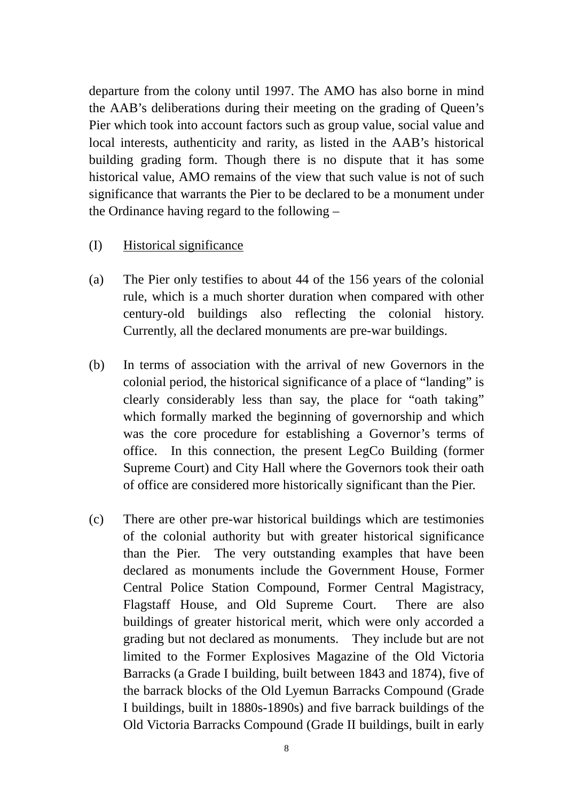departure from the colony until 1997. The AMO has also borne in mind the AAB's deliberations during their meeting on the grading of Queen's Pier which took into account factors such as group value, social value and local interests, authenticity and rarity, as listed in the AAB's historical building grading form. Though there is no dispute that it has some historical value, AMO remains of the view that such value is not of such significance that warrants the Pier to be declared to be a monument under the Ordinance having regard to the following –

#### (I) Historical significance

- (a) The Pier only testifies to about 44 of the 156 years of the colonial rule, which is a much shorter duration when compared with other century-old buildings also reflecting the colonial history. Currently, all the declared monuments are pre-war buildings.
- (b) In terms of association with the arrival of new Governors in the colonial period, the historical significance of a place of "landing" is clearly considerably less than say, the place for "oath taking" which formally marked the beginning of governorship and which was the core procedure for establishing a Governor's terms of office. In this connection, the present LegCo Building (former Supreme Court) and City Hall where the Governors took their oath of office are considered more historically significant than the Pier.
- (c) There are other pre-war historical buildings which are testimonies of the colonial authority but with greater historical significance than the Pier. The very outstanding examples that have been declared as monuments include the Government House, Former Central Police Station Compound, Former Central Magistracy, Flagstaff House, and Old Supreme Court. There are also buildings of greater historical merit, which were only accorded a grading but not declared as monuments. They include but are not limited to the Former Explosives Magazine of the Old Victoria Barracks (a Grade I building, built between 1843 and 1874), five of the barrack blocks of the Old Lyemun Barracks Compound (Grade I buildings, built in 1880s-1890s) and five barrack buildings of the Old Victoria Barracks Compound (Grade II buildings, built in early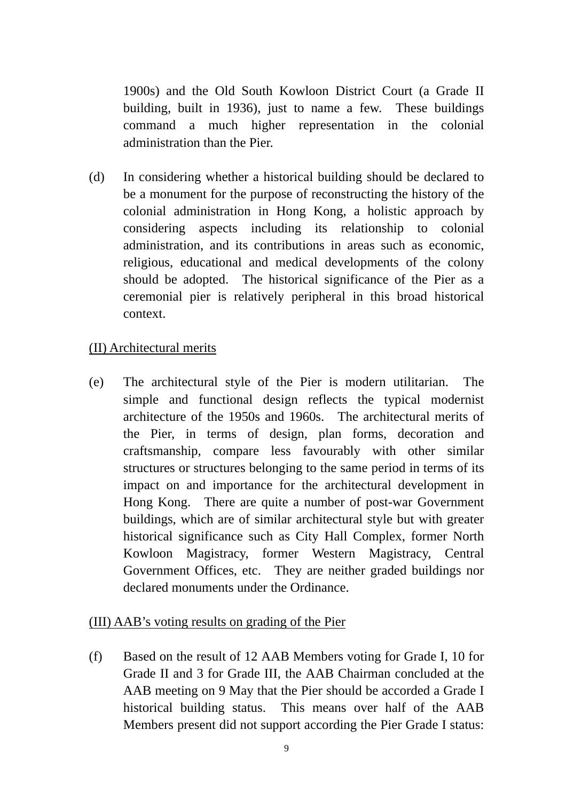1900s) and the Old South Kowloon District Court (a Grade II building, built in 1936), just to name a few. These buildings command a much higher representation in the colonial administration than the Pier.

(d) In considering whether a historical building should be declared to be a monument for the purpose of reconstructing the history of the colonial administration in Hong Kong, a holistic approach by considering aspects including its relationship to colonial administration, and its contributions in areas such as economic, religious, educational and medical developments of the colony should be adopted. The historical significance of the Pier as a ceremonial pier is relatively peripheral in this broad historical context.

#### (II) Architectural merits

(e) The architectural style of the Pier is modern utilitarian. The simple and functional design reflects the typical modernist architecture of the 1950s and 1960s. The architectural merits of the Pier, in terms of design, plan forms, decoration and craftsmanship, compare less favourably with other similar structures or structures belonging to the same period in terms of its impact on and importance for the architectural development in Hong Kong. There are quite a number of post-war Government buildings, which are of similar architectural style but with greater historical significance such as City Hall Complex, former North Kowloon Magistracy, former Western Magistracy, Central Government Offices, etc. They are neither graded buildings nor declared monuments under the Ordinance.

#### (III) AAB's voting results on grading of the Pier

(f) Based on the result of 12 AAB Members voting for Grade I, 10 for Grade II and 3 for Grade III, the AAB Chairman concluded at the AAB meeting on 9 May that the Pier should be accorded a Grade I historical building status. This means over half of the AAB Members present did not support according the Pier Grade I status: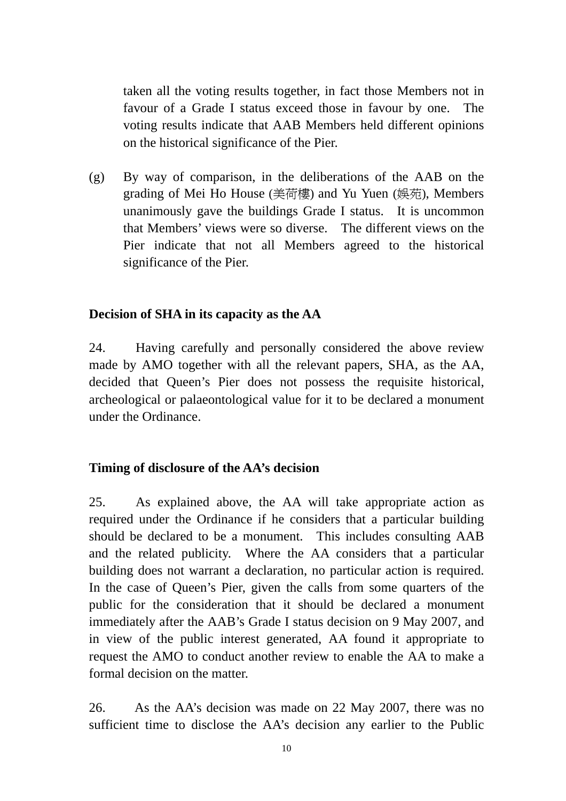taken all the voting results together, in fact those Members not in favour of a Grade I status exceed those in favour by one. The voting results indicate that AAB Members held different opinions on the historical significance of the Pier.

(g) By way of comparison, in the deliberations of the AAB on the grading of Mei Ho House (美荷樓) and Yu Yuen (娛苑), Members unanimously gave the buildings Grade I status. It is uncommon that Members' views were so diverse. The different views on the Pier indicate that not all Members agreed to the historical significance of the Pier.

#### **Decision of SHA in its capacity as the AA**

24. Having carefully and personally considered the above review made by AMO together with all the relevant papers, SHA, as the AA, decided that Queen's Pier does not possess the requisite historical, archeological or palaeontological value for it to be declared a monument under the Ordinance.

#### **Timing of disclosure of the AA's decision**

25. As explained above, the AA will take appropriate action as required under the Ordinance if he considers that a particular building should be declared to be a monument. This includes consulting AAB and the related publicity. Where the AA considers that a particular building does not warrant a declaration, no particular action is required. In the case of Queen's Pier, given the calls from some quarters of the public for the consideration that it should be declared a monument immediately after the AAB's Grade I status decision on 9 May 2007, and in view of the public interest generated, AA found it appropriate to request the AMO to conduct another review to enable the AA to make a formal decision on the matter.

26. As the AA's decision was made on 22 May 2007, there was no sufficient time to disclose the AA's decision any earlier to the Public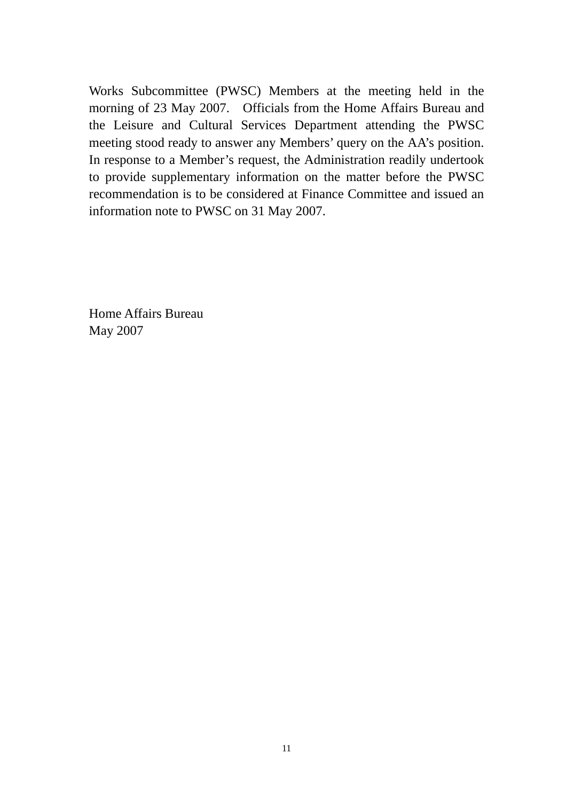Works Subcommittee (PWSC) Members at the meeting held in the morning of 23 May 2007. Officials from the Home Affairs Bureau and the Leisure and Cultural Services Department attending the PWSC meeting stood ready to answer any Members' query on the AA's position. In response to a Member's request, the Administration readily undertook to provide supplementary information on the matter before the PWSC recommendation is to be considered at Finance Committee and issued an information note to PWSC on 31 May 2007.

Home Affairs Bureau May 2007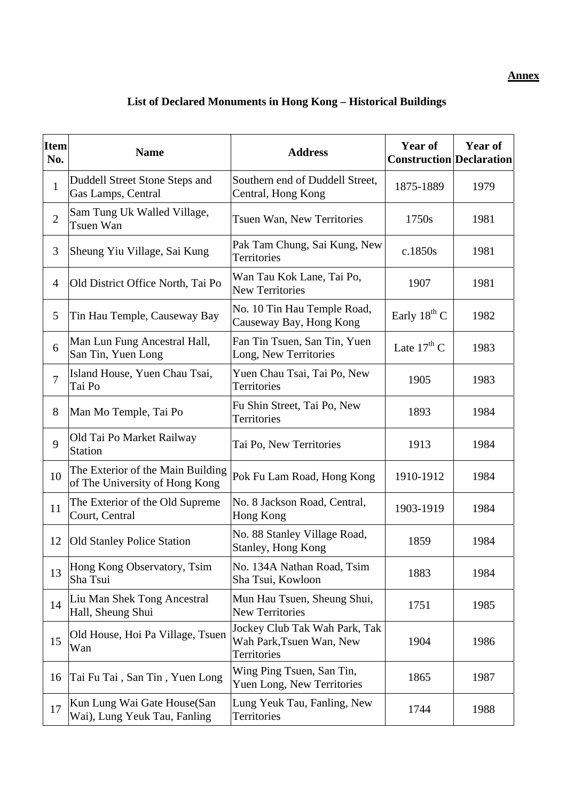#### **Annex**

# **List of Declared Monuments in Hong Kong – Historical Buildings**

| <b>Item</b><br>No. | <b>Name</b>                                                         | <b>Address</b>                                                           | Year of<br><b>Construction Declaration</b> | <b>Year of</b> |
|--------------------|---------------------------------------------------------------------|--------------------------------------------------------------------------|--------------------------------------------|----------------|
| $\mathbf{1}$       | Duddell Street Stone Steps and<br>Gas Lamps, Central                | Southern end of Duddell Street,<br>Central, Hong Kong                    | 1875-1889                                  | 1979           |
| $\overline{2}$     | Sam Tung Uk Walled Village,<br>Tsuen Wan                            | Tsuen Wan, New Territories                                               | 1750s                                      | 1981           |
| 3                  | Sheung Yiu Village, Sai Kung                                        | Pak Tam Chung, Sai Kung, New<br><b>Territories</b>                       | c.1850s                                    | 1981           |
| 4                  | Old District Office North, Tai Po                                   | Wan Tau Kok Lane, Tai Po,<br><b>New Territories</b>                      | 1907                                       | 1981           |
| 5                  | Tin Hau Temple, Causeway Bay                                        | No. 10 Tin Hau Temple Road,<br>Causeway Bay, Hong Kong                   | Early $18^{th}$ C                          | 1982           |
| 6                  | Man Lun Fung Ancestral Hall,<br>San Tin, Yuen Long                  | Fan Tin Tsuen, San Tin, Yuen<br>Long, New Territories                    | Late $17^{\text{th}}$ C                    | 1983           |
| $\overline{7}$     | Island House, Yuen Chau Tsai,<br>Tai Po                             | Yuen Chau Tsai, Tai Po, New<br>Territories                               | 1905                                       | 1983           |
| 8                  | Man Mo Temple, Tai Po                                               | Fu Shin Street, Tai Po, New<br>Territories                               | 1893                                       | 1984           |
| 9                  | Old Tai Po Market Railway<br><b>Station</b>                         | Tai Po, New Territories                                                  | 1913                                       | 1984           |
| 10                 | The Exterior of the Main Building<br>of The University of Hong Kong | Pok Fu Lam Road, Hong Kong                                               | 1910-1912                                  | 1984           |
| 11                 | The Exterior of the Old Supreme<br>Court, Central                   | No. 8 Jackson Road, Central,<br>Hong Kong                                | 1903-1919                                  | 1984           |
| 12                 | <b>Old Stanley Police Station</b>                                   | No. 88 Stanley Village Road,<br>Stanley, Hong Kong                       | 1859                                       | 1984           |
| 13                 | Hong Kong Observatory, Tsim<br>Sha Tsui                             | No. 134A Nathan Road, Tsim<br>Sha Tsui, Kowloon                          | 1883                                       | 1984           |
| 14                 | Liu Man Shek Tong Ancestral<br>Hall, Sheung Shui                    | Mun Hau Tsuen, Sheung Shui,<br><b>New Territories</b>                    | 1751                                       | 1985           |
| 15                 | Old House, Hoi Pa Village, Tsuen<br>Wan                             | Jockey Club Tak Wah Park, Tak<br>Wah Park, Tsuen Wan, New<br>Territories | 1904                                       | 1986           |
| 16                 | Tai Fu Tai, San Tin, Yuen Long                                      | Wing Ping Tsuen, San Tin,<br>Yuen Long, New Territories                  | 1865                                       | 1987           |
| 17                 | Kun Lung Wai Gate House(San<br>Wai), Lung Yeuk Tau, Fanling         | Lung Yeuk Tau, Fanling, New<br>Territories                               | 1744                                       | 1988           |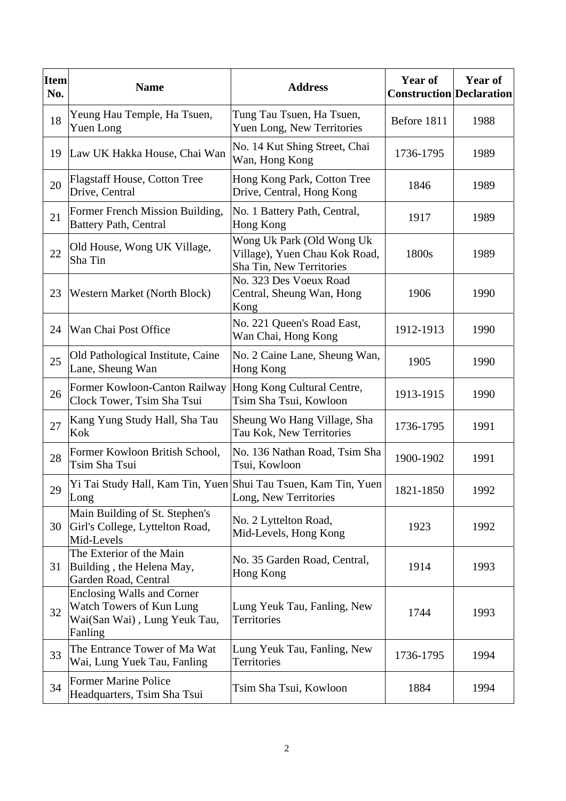| <b>Item</b><br>No. | <b>Name</b>                                                                                              | <b>Address</b>                                                                         | Year of<br><b>Construction Declaration</b> | <b>Year of</b> |
|--------------------|----------------------------------------------------------------------------------------------------------|----------------------------------------------------------------------------------------|--------------------------------------------|----------------|
| 18                 | Yeung Hau Temple, Ha Tsuen,<br>Yuen Long                                                                 | Tung Tau Tsuen, Ha Tsuen,<br>Yuen Long, New Territories                                | Before 1811                                | 1988           |
| 19                 | Law UK Hakka House, Chai Wan                                                                             | No. 14 Kut Shing Street, Chai<br>Wan, Hong Kong                                        | 1736-1795                                  | 1989           |
| 20                 | <b>Flagstaff House, Cotton Tree</b><br>Drive, Central                                                    | Hong Kong Park, Cotton Tree<br>Drive, Central, Hong Kong                               | 1846                                       | 1989           |
| 21                 | Former French Mission Building,<br><b>Battery Path, Central</b>                                          | No. 1 Battery Path, Central,<br>Hong Kong                                              | 1917                                       | 1989           |
| 22                 | Old House, Wong UK Village,<br>Sha Tin                                                                   | Wong Uk Park (Old Wong Uk<br>Village), Yuen Chau Kok Road,<br>Sha Tin, New Territories | 1800s                                      | 1989           |
| 23                 | <b>Western Market (North Block)</b>                                                                      | No. 323 Des Voeux Road<br>Central, Sheung Wan, Hong<br>Kong                            | 1906                                       | 1990           |
| 24                 | Wan Chai Post Office                                                                                     | No. 221 Queen's Road East,<br>Wan Chai, Hong Kong                                      | 1912-1913                                  | 1990           |
| 25                 | Old Pathological Institute, Caine<br>Lane, Sheung Wan                                                    | No. 2 Caine Lane, Sheung Wan,<br>Hong Kong                                             | 1905                                       | 1990           |
| 26                 | Former Kowloon-Canton Railway<br>Clock Tower, Tsim Sha Tsui                                              | Hong Kong Cultural Centre,<br>Tsim Sha Tsui, Kowloon                                   | 1913-1915                                  | 1990           |
| 27                 | Kang Yung Study Hall, Sha Tau<br>Kok                                                                     | Sheung Wo Hang Village, Sha<br>Tau Kok, New Territories                                | 1736-1795                                  | 1991           |
| 28                 | Former Kowloon British School,<br>Tsim Sha Tsui                                                          | No. 136 Nathan Road, Tsim Sha<br>Tsui, Kowloon                                         | 1900-1902                                  | 1991           |
| 29                 | Yi Tai Study Hall, Kam Tin, Yuen Shui Tau Tsuen, Kam Tin, Yuen<br>Long                                   | Long, New Territories                                                                  | 1821-1850                                  | 1992           |
| 30                 | Main Building of St. Stephen's<br>Girl's College, Lyttelton Road,<br>Mid-Levels                          | No. 2 Lyttelton Road,<br>Mid-Levels, Hong Kong                                         | 1923                                       | 1992           |
| 31                 | The Exterior of the Main<br>Building, the Helena May,<br>Garden Road, Central                            | No. 35 Garden Road, Central,<br>Hong Kong                                              | 1914                                       | 1993           |
| 32                 | <b>Enclosing Walls and Corner</b><br>Watch Towers of Kun Lung<br>Wai(San Wai), Lung Yeuk Tau,<br>Fanling | Lung Yeuk Tau, Fanling, New<br>Territories                                             | 1744                                       | 1993           |
| 33                 | The Entrance Tower of Ma Wat<br>Wai, Lung Yuek Tau, Fanling                                              | Lung Yeuk Tau, Fanling, New<br>Territories                                             | 1736-1795                                  | 1994           |
| 34                 | <b>Former Marine Police</b><br>Headquarters, Tsim Sha Tsui                                               | Tsim Sha Tsui, Kowloon                                                                 | 1884                                       | 1994           |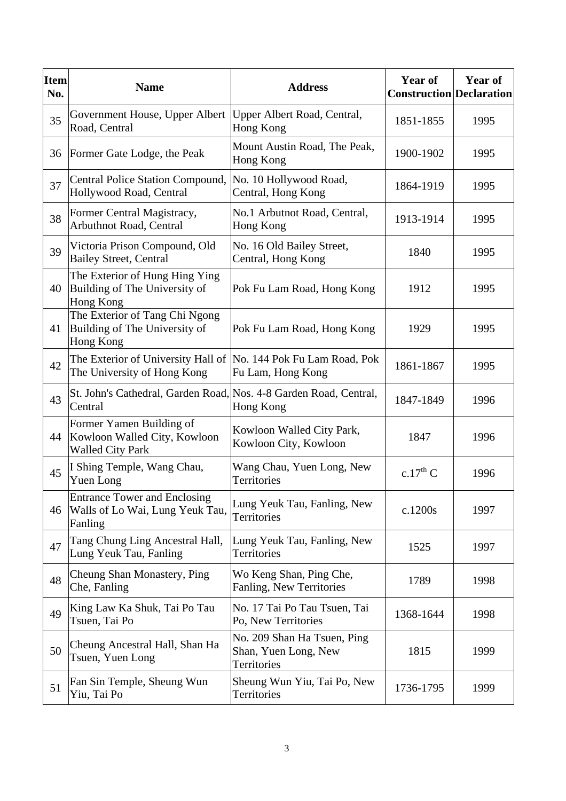| <b>Item</b><br>No. | <b>Name</b>                                                                                    | <b>Address</b>                                                     | <b>Year of</b><br><b>Construction Declaration</b> | <b>Year of</b> |
|--------------------|------------------------------------------------------------------------------------------------|--------------------------------------------------------------------|---------------------------------------------------|----------------|
| 35                 | Government House, Upper Albert<br>Road, Central                                                | Upper Albert Road, Central,<br>Hong Kong                           | 1851-1855                                         | 1995           |
| 36                 | Former Gate Lodge, the Peak                                                                    | Mount Austin Road, The Peak,<br>Hong Kong                          | 1900-1902                                         | 1995           |
| 37                 | Central Police Station Compound, No. 10 Hollywood Road,<br>Hollywood Road, Central             | Central, Hong Kong                                                 | 1864-1919                                         | 1995           |
| 38                 | Former Central Magistracy,<br>Arbuthnot Road, Central                                          | No.1 Arbutnot Road, Central,<br>Hong Kong                          | 1913-1914                                         | 1995           |
| 39                 | Victoria Prison Compound, Old<br><b>Bailey Street, Central</b>                                 | No. 16 Old Bailey Street,<br>Central, Hong Kong                    | 1840                                              | 1995           |
| 40                 | The Exterior of Hung Hing Ying<br>Building of The University of<br>Hong Kong                   | Pok Fu Lam Road, Hong Kong                                         | 1912                                              | 1995           |
| 41                 | The Exterior of Tang Chi Ngong<br>Building of The University of<br>Hong Kong                   | Pok Fu Lam Road, Hong Kong                                         | 1929                                              | 1995           |
| 42                 | The Exterior of University Hall of No. 144 Pok Fu Lam Road, Pok<br>The University of Hong Kong | Fu Lam, Hong Kong                                                  | 1861-1867                                         | 1995           |
| 43                 | St. John's Cathedral, Garden Road, Nos. 4-8 Garden Road, Central,<br>Central                   | Hong Kong                                                          | 1847-1849                                         | 1996           |
| 44                 | Former Yamen Building of<br>Kowloon Walled City, Kowloon<br><b>Walled City Park</b>            | Kowloon Walled City Park,<br>Kowloon City, Kowloon                 | 1847                                              | 1996           |
| 45                 | I Shing Temple, Wang Chau,<br>Yuen Long                                                        | Wang Chau, Yuen Long, New<br>Territories                           | c.17 <sup>th</sup> C                              | 1996           |
| 46                 | <b>Entrance Tower and Enclosing</b><br>Walls of Lo Wai, Lung Yeuk Tau,<br>Fanling              | Lung Yeuk Tau, Fanling, New<br>Territories                         | c.1200s                                           | 1997           |
| 47                 | Tang Chung Ling Ancestral Hall,<br>Lung Yeuk Tau, Fanling                                      | Lung Yeuk Tau, Fanling, New<br>Territories                         | 1525                                              | 1997           |
| 48                 | Cheung Shan Monastery, Ping<br>Che, Fanling                                                    | Wo Keng Shan, Ping Che,<br>Fanling, New Territories                | 1789                                              | 1998           |
| 49                 | King Law Ka Shuk, Tai Po Tau<br>Tsuen, Tai Po                                                  | No. 17 Tai Po Tau Tsuen, Tai<br>Po, New Territories                | 1368-1644                                         | 1998           |
| 50                 | Cheung Ancestral Hall, Shan Ha<br>Tsuen, Yuen Long                                             | No. 209 Shan Ha Tsuen, Ping<br>Shan, Yuen Long, New<br>Territories | 1815                                              | 1999           |
| 51                 | Fan Sin Temple, Sheung Wun<br>Yiu, Tai Po                                                      | Sheung Wun Yiu, Tai Po, New<br>Territories                         | 1736-1795                                         | 1999           |